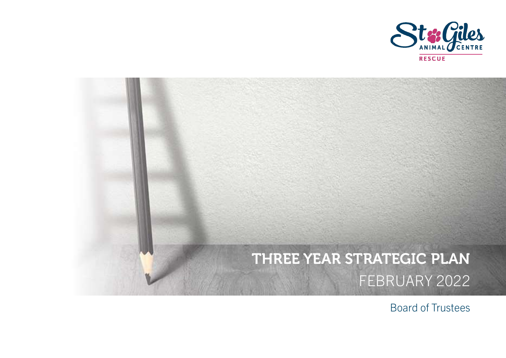

# THREE YEAR STRATEGIC PLAN FEBRUARY 2022

Board of Trustees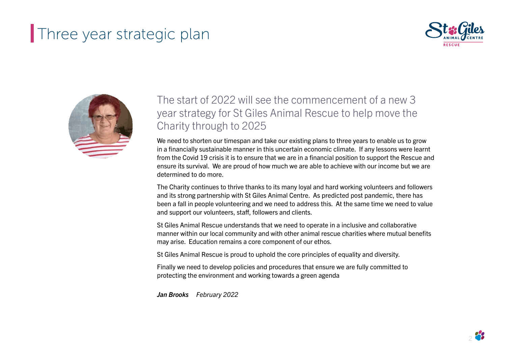



#### The start of 2022 will see the commencement of a new 3 year strategy for St Giles Animal Rescue to help move the Charity through to 2025

We need to shorten our timespan and take our existing plans to three years to enable us to grow in a financially sustainable manner in this uncertain economic climate. If any lessons were learnt from the Covid 19 crisis it is to ensure that we are in a financial position to support the Rescue and ensure its survival. We are proud of how much we are able to achieve with our income but we are determined to do more.

The Charity continues to thrive thanks to its many loyal and hard working volunteers and followers and its strong partnership with St Giles Animal Centre. As predicted post pandemic, there has been a fall in people volunteering and we need to address this. At the same time we need to value and support our volunteers, staff, followers and clients.

St Giles Animal Rescue understands that we need to operate in a inclusive and collaborative manner within our local community and with other animal rescue charities where mutual benefits may arise. Education remains a core component of our ethos.

St Giles Animal Rescue is proud to uphold the core principles of equality and diversity.

Finally we need to develop policies and procedures that ensure we are fully committed to protecting the environment and working towards a green agenda

Jan Brooks February 2022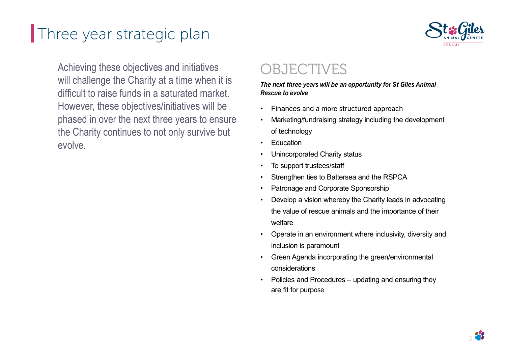

Achieving these objectives and initiatives will challenge the Charity at a time when it is difficult to raise funds in a saturated market. However, these objectives/initiatives will be phased in over the next three years to ensure the Charity continues to not only survive but evolve.

## OBJECTIVES

The next three years will be an opportunity for St Giles Animal Rescue to evolve

- Finances and a more structured approach
- Marketing/fundraising strategy including the development of technology
- **F**ducation
- Unincorporated Charity status
- To support trustees/staff
- Strengthen ties to Battersea and the RSPCA
- Patronage and Corporate Sponsorship
- Develop a vision whereby the Charity leads in advocating the value of rescue animals and the importance of their welfare
- Operate in an environment where inclusivity, diversity and inclusion is paramount
- Green Agenda incorporating the green/environmental considerations
- Policies and Procedures updating and ensuring they are fit for purpose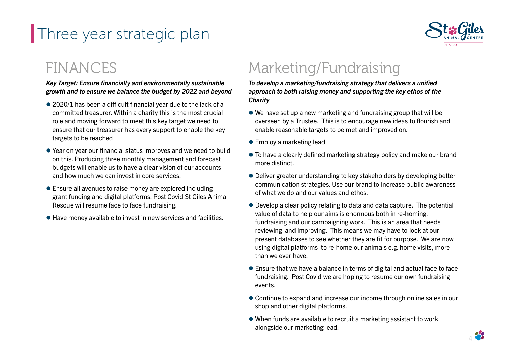

## FINANCES

#### Key Target: Ensure financially and environmentally sustainable growth and to ensure we balance the budget by 2022 and beyond

- $\bullet$  2020/1 has been a difficult financial year due to the lack of a committed treasurer. Within a charity this is the most crucial role and moving forward to meet this key target we need to ensure that our treasurer has every support to enable the key targets to be reached
- $\bullet$  Year on year our financial status improves and we need to build on this. Producing three monthly management and forecast budgets will enable us to have a clear vision of our accounts and how much we can invest in core services.
- Ensure all avenues to raise money are explored including grant funding and digital platforms. Post Covid St Giles Animal Rescue will resume face to face fundraising.
- Have money available to invest in new services and facilities.

# Marketing/Fundraising

To develop a marketing/fundraising strategy that delivers a unified approach to both raising money and supporting the key ethos of the **Charity** 

- We have set up a new marketing and fundraising group that will be overseen by a Trustee. This is to encourage new ideas to flourish and enable reasonable targets to be met and improved on.
- Employ a marketing lead
- $\bullet$  To have a clearly defined marketing strategy policy and make our brand more distinct.
- Deliver greater understanding to key stakeholders by developing better communication strategies. Use our brand to increase public awareness of what we do and our values and ethos.
- Develop a clear policy relating to data and data capture. The potential value of data to help our aims is enormous both in re-homing, fundraising and our campaigning work. This is an area that needs reviewing and improving. This means we may have to look at our present databases to see whether they are fit for purpose. We are now using digital platforms to re-home our animals e.g. home visits, more than we ever have.
- Ensure that we have a balance in terms of digital and actual face to face fundraising. Post Covid we are hoping to resume our own fundraising events.
- Continue to expand and increase our income through online sales in our shop and other digital platforms.
- When funds are available to recruit a marketing assistant to work alongside our marketing lead.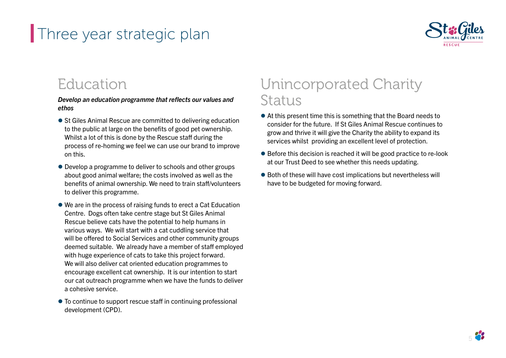

#### Education

Develop an education programme that reflects our values and ethos

- St Giles Animal Rescue are committed to delivering education to the public at large on the benefits of good pet ownership. Whilst a lot of this is done by the Rescue staff during the process of re-homing we feel we can use our brand to improve on this.
- Develop a programme to deliver to schools and other groups about good animal welfare; the costs involved as well as the benefits of animal ownership. We need to train staff/volunteers to deliver this programme.
- We are in the process of raising funds to erect a Cat Education Centre. Dogs often take centre stage but St Giles Animal Rescue believe cats have the potential to help humans in various ways. We will start with a cat cuddling service that will be offered to Social Services and other community groups deemed suitable. We already have a member of staff employed with huge experience of cats to take this project forward. We will also deliver cat oriented education programmes to encourage excellent cat ownership. It is our intention to start our cat outreach programme when we have the funds to deliver a cohesive service.
- To continue to support rescue staff in continuing professional development (CPD).

# Unincorporated Charity Status

- At this present time this is something that the Board needs to consider for the future. If St Giles Animal Rescue continues to grow and thrive it will give the Charity the ability to expand its services whilst providing an excellent level of protection.
- Before this decision is reached it will be good practice to re-look at our Trust Deed to see whether this needs updating.
- Both of these will have cost implications but nevertheless will have to be budgeted for moving forward.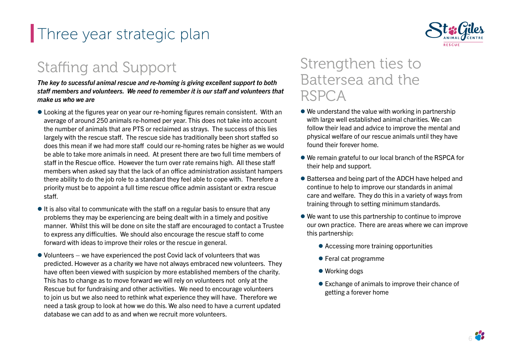# Staffing and Support

The key to sucessful animal rescue and re-homing is giving excellent support to both staff members and volunteers. We need to remember it is our staff and volunteers that make us who we are

- $\bullet$  Looking at the figures year on year our re-homing figures remain consistent. With an average of around 250 animals re-homed per year. This does not take into account the number of animals that are PTS or reclaimed as strays. The success of this lies largely with the rescue staff. The rescue side has traditionally been short staffed so does this mean if we had more staff could our re-homing rates be higher as we would be able to take more animals in need. At present there are two full time members of staff in the Rescue office. However the turn over rate remains high. All these staff members when asked say that the lack of an office administration assistant hampers there ability to do the job role to a standard they feel able to cope with. Therefore a priority must be to appoint a full time rescue office admin assistant or extra rescue staff .
- $\bullet$  It is also vital to communicate with the staff on a regular basis to ensure that any problems they may be experiencing are being dealt with in a timely and positive manner. Whilst this will be done on site the staff are encouraged to contact a Trustee to express any difficulties. We should also encourage the rescue staff to come forward with ideas to improve their roles or the rescue in general.
- Volunteers we have experienced the post Covid lack of volunteers that was predicted. However as a charity we have not always embraced new volunteers. They have often been viewed with suspicion by more established members of the charity. This has to change as to move forward we will rely on volunteers not only at the Rescue but for fundraising and other activities. We need to encourage volunteers to join us but we also need to rethink what experience they will have. Therefore we need a task group to look at how we do this. We also need to have a current updated database we can add to as and when we recruit more volunteers.

#### Strengthen ties to Battersea and the RSPCA

- We understand the value with working in partnership with large well established animal charities. We can follow their lead and advice to improve the mental and physical welfare of our rescue animals until they have found their forever home.
- We remain grateful to our local branch of the RSPCA for their help and support.
- Battersea and being part of the ADCH have helped and continue to help to improve our standards in animal care and welfare. They do this in a variety of ways from training through to setting minimum standards.
- We want to use this partnership to continue to improve our own practice. There are areas where we can improve this partnership:
	- Accessing more training opportunities
	- Feral cat programme
	- Working dogs
	- Exchange of animals to improve their chance of getting a forever home

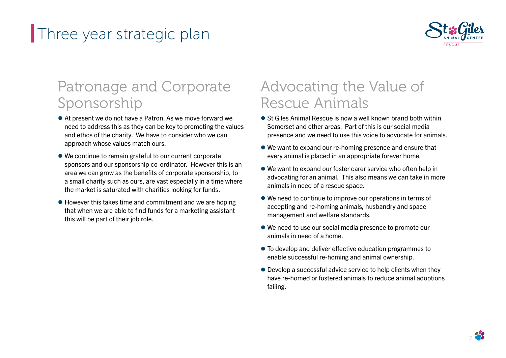

# Patronage and Corporate Sponsorship

- At present we do not have a Patron. As we move forward we need to address this as they can be key to promoting the values and ethos of the charity. We have to consider who we can approach whose values match ours.
- We continue to remain grateful to our current corporate sponsors and our sponsorship co-ordinator. However this is an area we can grow as the benefits of corporate sponsorship, to a small charity such as ours, are vast especially in a time where the market is saturated with charities looking for funds.
- However this takes time and commitment and we are hoping that when we are able to find funds for a marketing assistant this will be part of their job role.

## Advocating the Value of Rescue Animals

- St Giles Animal Rescue is now a well known brand both within Somerset and other areas. Part of this is our social media presence and we need to use this voice to advocate for animals.
- We want to expand our re-homing presence and ensure that every animal is placed in an appropriate forever home.
- We want to expand our foster carer service who often help in advocating for an animal. This also means we can take in more animals in need of a rescue space.
- We need to continue to improve our operations in terms of accepting and re-homing animals, husbandry and space management and welfare standards.
- We need to use our social media presence to promote our animals in need of a home.
- $\bullet$  To develop and deliver effective education programmes to enable successful re-homing and animal ownership.
- Develop a successful advice service to help clients when they have re-homed or fostered animals to reduce animal adoptions failing.